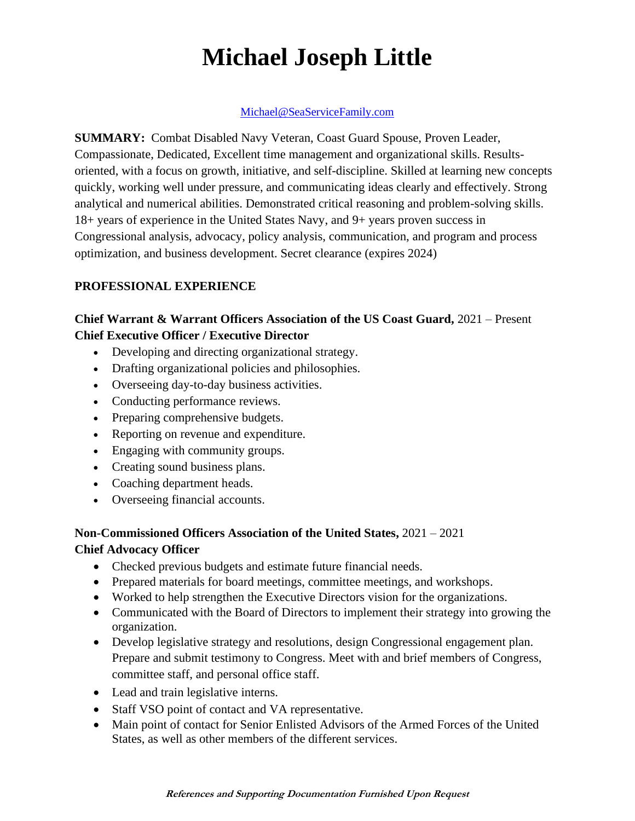# **Michael Joseph Little**

#### Michael@SeaServiceFamily.com

**SUMMARY:** Combat Disabled Navy Veteran, Coast Guard Spouse, Proven Leader, Compassionate, Dedicated, Excellent time management and organizational skills. Resultsoriented, with a focus on growth, initiative, and self-discipline. Skilled at learning new concepts quickly, working well under pressure, and communicating ideas clearly and effectively. Strong analytical and numerical abilities. Demonstrated critical reasoning and problem-solving skills. 18+ years of experience in the United States Navy, and 9+ years proven success in Congressional analysis, advocacy, policy analysis, communication, and program and process optimization, and business development. Secret clearance (expires 2024)

#### **PROFESSIONAL EXPERIENCE**

#### **Chief Warrant & Warrant Officers Association of the US Coast Guard,** 2021 – Present **Chief Executive Officer / Executive Director**

- Developing and directing organizational strategy.
- Drafting organizational policies and philosophies.
- Overseeing day-to-day business activities.
- Conducting performance reviews.
- Preparing comprehensive budgets.
- Reporting on revenue and expenditure.
- Engaging with community groups.
- Creating sound business plans.
- Coaching department heads.
- Overseeing financial accounts.

## **Non-Commissioned Officers Association of the United States,** 2021 – 2021

### **Chief Advocacy Officer**

- Checked previous budgets and estimate future financial needs.
- Prepared materials for board meetings, committee meetings, and workshops.
- Worked to help strengthen the Executive Directors vision for the organizations.
- Communicated with the Board of Directors to implement their strategy into growing the organization.
- Develop legislative strategy and resolutions, design Congressional engagement plan. Prepare and submit testimony to Congress. Meet with and brief members of Congress, committee staff, and personal office staff.
- Lead and train legislative interns.
- Staff VSO point of contact and VA representative.
- Main point of contact for Senior Enlisted Advisors of the Armed Forces of the United States, as well as other members of the different services.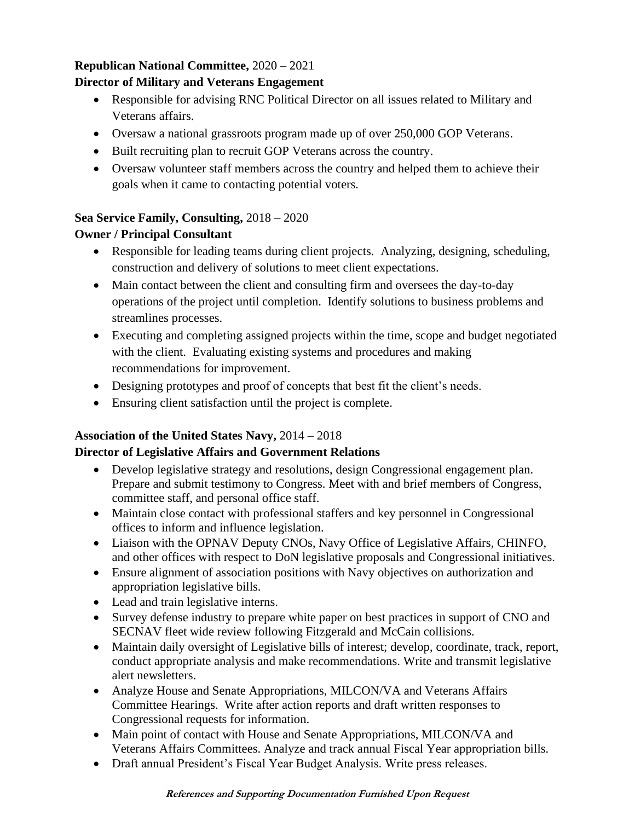#### **Republican National Committee,** 2020 – 2021

#### **Director of Military and Veterans Engagement**

- Responsible for advising RNC Political Director on all issues related to Military and Veterans affairs.
- Oversaw a national grassroots program made up of over 250,000 GOP Veterans.
- Built recruiting plan to recruit GOP Veterans across the country.
- Oversaw volunteer staff members across the country and helped them to achieve their goals when it came to contacting potential voters.

#### **Sea Service Family, Consulting,** 2018 – 2020

#### **Owner / Principal Consultant**

- Responsible for leading teams during client projects. Analyzing, designing, scheduling, construction and delivery of solutions to meet client expectations.
- Main contact between the client and consulting firm and oversees the day-to-day operations of the project until completion. Identify solutions to business problems and streamlines processes.
- Executing and completing assigned projects within the time, scope and budget negotiated with the client. Evaluating existing systems and procedures and making recommendations for improvement.
- Designing prototypes and proof of concepts that best fit the client's needs.
- Ensuring client satisfaction until the project is complete.

#### **Association of the United States Navy,** 2014 – 2018

#### **Director of Legislative Affairs and Government Relations**

- Develop legislative strategy and resolutions, design Congressional engagement plan. Prepare and submit testimony to Congress. Meet with and brief members of Congress, committee staff, and personal office staff.
- Maintain close contact with professional staffers and key personnel in Congressional offices to inform and influence legislation.
- Liaison with the OPNAV Deputy CNOs, Navy Office of Legislative Affairs, CHINFO, and other offices with respect to DoN legislative proposals and Congressional initiatives.
- Ensure alignment of association positions with Navy objectives on authorization and appropriation legislative bills.
- Lead and train legislative interns.
- Survey defense industry to prepare white paper on best practices in support of CNO and SECNAV fleet wide review following Fitzgerald and McCain collisions.
- Maintain daily oversight of Legislative bills of interest; develop, coordinate, track, report, conduct appropriate analysis and make recommendations. Write and transmit legislative alert newsletters.
- Analyze House and Senate Appropriations, MILCON/VA and Veterans Affairs Committee Hearings. Write after action reports and draft written responses to Congressional requests for information.
- Main point of contact with House and Senate Appropriations, MILCON/VA and Veterans Affairs Committees. Analyze and track annual Fiscal Year appropriation bills.
- Draft annual President's Fiscal Year Budget Analysis. Write press releases.